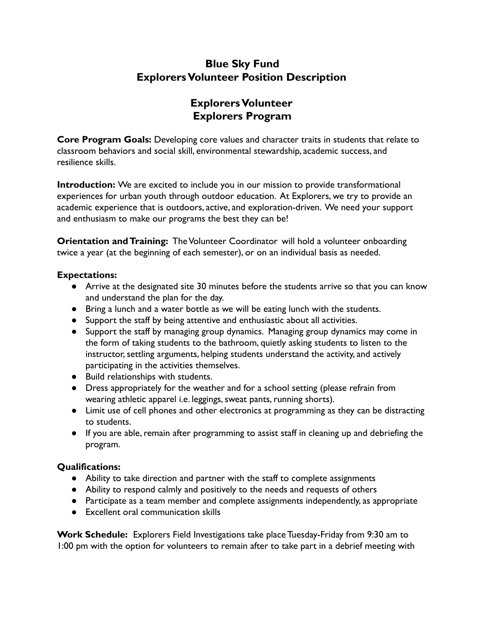# **Blue Sky Fund ExplorersVolunteer Position Description**

# **ExplorersVolunteer Explorers Program**

**Core Program Goals:** Developing core values and character traits in students that relate to classroom behaviors and social skill, environmental stewardship, academic success, and resilience skills.

**Introduction:** We are excited to include you in our mission to provide transformational experiences for urban youth through outdoor education. At Explorers, we try to provide an academic experience that is outdoors, active, and exploration-driven. We need your support and enthusiasm to make our programs the best they can be!

**Orientation and Training:** The Volunteer Coordinator will hold a volunteer onboarding twice a year (at the beginning of each semester), or on an individual basis as needed.

### **Expectations:**

- Arrive at the designated site 30 minutes before the students arrive so that you can know and understand the plan for the day.
- Bring a lunch and a water bottle as we will be eating lunch with the students.
- Support the staff by being attentive and enthusiastic about all activities.
- Support the staff by managing group dynamics. Managing group dynamics may come in the form of taking students to the bathroom, quietly asking students to listen to the instructor, settling arguments, helping students understand the activity, and actively participating in the activities themselves.
- Build relationships with students.
- **●** Dress appropriately for the weather and for a school setting (please refrain from wearing athletic apparel i.e. leggings, sweat pants, running shorts).
- **●** Limit use of cell phones and other electronics at programming as they can be distracting to students.
- **●** If you are able, remain after programming to assist staff in cleaning up and debriefing the program.

### **Qualifications:**

- Ability to take direction and partner with the staff to complete assignments
- Ability to respond calmly and positively to the needs and requests of others
- Participate as a team member and complete assignments independently, as appropriate
- Excellent oral communication skills

**Work Schedule:** Explorers Field Investigations take place Tuesday-Friday from 9:30 am to 1:00 pm with the option for volunteers to remain after to take part in a debrief meeting with